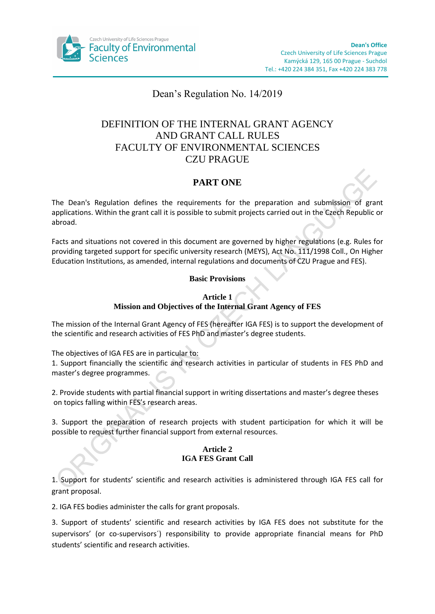

# Dean's Regulation No. 14/2019

# DEFINITION OF THE INTERNAL GRANT AGENCY AND GRANT CALL RULES FACULTY OF ENVIRONMENTAL SCIENCES CZU PRAGUE

## **PART ONE**

The Dean's Regulation defines the requirements for the preparation and submission of grant applications. Within the grant call it is possible to submit projects carried out in the Czech Republic or abroad.

Facts and situations not covered in this document are governed by higher regulations (e.g. Rules for providing targeted support for specific university research (MEYS), Act No. 111/1998 Coll., On Higher Education Institutions, as amended, internal regulations and documents of CZU Prague and FES).

### **Basic Provisions**

### **Article 1 Mission and Objectives of the Internal Grant Agency of FES**

The mission of the Internal Grant Agency of FES (hereafter IGA FES) is to support the development of the scientific and research activities of FES PhD and master's degree students.

The objectives of IGA FES are in particular to:

1. Support financially the scientific and research activities in particular of students in FES PhD and master's degree programmes.

2. Provide students with partial financial support in writing dissertations and master's degree theses on topics falling within FES's research areas.

3. Support the preparation of research projects with student participation for which it will be possible to request further financial support from external resources.

### **Article 2 IGA FES Grant Call**

1. Support for students' scientific and research activities is administered through IGA FES call for grant proposal.

2. IGA FES bodies administer the calls for grant proposals.

3. Support of students' scientific and research activities by IGA FES does not substitute for the supervisors' (or co-supervisors´) responsibility to provide appropriate financial means for PhD students' scientific and research activities.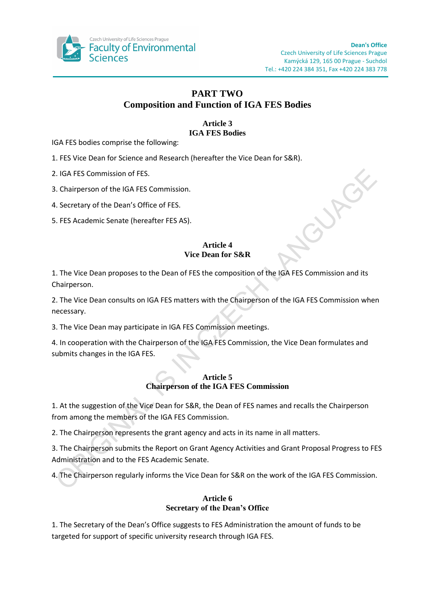

## **PART TWO Composition and Function of IGA FES Bodies**

#### **Article 3 IGA FES Bodies**

IGA FES bodies comprise the following:

1. FES Vice Dean for Science and Research (hereafter the Vice Dean for S&R).

2. IGA FES Commission of FES.

3. Chairperson of the IGA FES Commission.

4. Secretary of the Dean's Office of FES.

5. FES Academic Senate (hereafter FES AS).

### **Article 4 Vice Dean for S&R**

1. The Vice Dean proposes to the Dean of FES the composition of the IGA FES Commission and its Chairperson.

2. The Vice Dean consults on IGA FES matters with the Chairperson of the IGA FES Commission when necessary.

3. The Vice Dean may participate in IGA FES Commission meetings.

4. In cooperation with the Chairperson of the IGA FES Commission, the Vice Dean formulates and submits changes in the IGA FES.

### **Article 5 Chairperson of the IGA FES Commission**

1. At the suggestion of the Vice Dean for S&R, the Dean of FES names and recalls the Chairperson from among the members of the IGA FES Commission.

2. The Chairperson represents the grant agency and acts in its name in all matters.

3. The Chairperson submits the Report on Grant Agency Activities and Grant Proposal Progress to FES Administration and to the FES Academic Senate.

4. The Chairperson regularly informs the Vice Dean for S&R on the work of the IGA FES Commission.

### **Article 6 Secretary of the Dean's Office**

1. The Secretary of the Dean's Office suggests to FES Administration the amount of funds to be targeted for support of specific university research through IGA FES.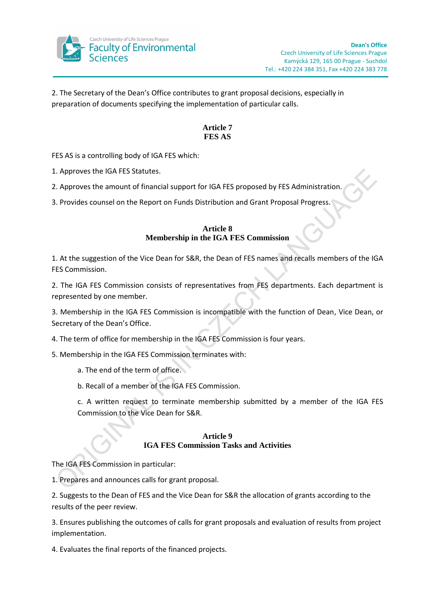

2. The Secretary of the Dean's Office contributes to grant proposal decisions, especially in preparation of documents specifying the implementation of particular calls.

### **Article 7 FES AS**

FES AS is a controlling body of IGA FES which:

1. Approves the IGA FES Statutes.

2. Approves the amount of financial support for IGA FES proposed by FES Administration.

3. Provides counsel on the Report on Funds Distribution and Grant Proposal Progress.

### **Article 8 Membership in the IGA FES Commission**

1. At the suggestion of the Vice Dean for S&R, the Dean of FES names and recalls members of the IGA FES Commission.

2. The IGA FES Commission consists of representatives from FES departments. Each department is represented by one member.

3. Membership in the IGA FES Commission is incompatible with the function of Dean, Vice Dean, or Secretary of the Dean's Office.

4. The term of office for membership in the IGA FES Commission is four years.

5. Membership in the IGA FES Commission terminates with:

a. The end of the term of office.

b. Recall of a member of the IGA FES Commission.

c. A written request to terminate membership submitted by a member of the IGA FES Commission to the Vice Dean for S&R.

### **Article 9 IGA FES Commission Tasks and Activities**

The IGA FES Commission in particular:

1. Prepares and announces calls for grant proposal.

2. Suggests to the Dean of FES and the Vice Dean for S&R the allocation of grants according to the results of the peer review.

3. Ensures publishing the outcomes of calls for grant proposals and evaluation of results from project implementation.

4. Evaluates the final reports of the financed projects.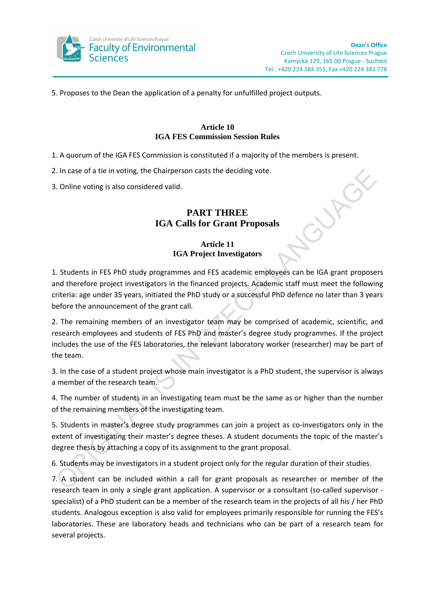

5. Proposes to the Dean the application of a penalty for unfulfilled project outputs.

#### **Article 10 IGA FES Commission Session Rules**

- 1. A quorum of the IGA FES Commission is constituted if a majority of the members is present.
- 2. In case of a tie in voting, the Chairperson casts the deciding vote.
- 3. Online voting is also considered valid.

# **PART THREE IGA Calls for Grant Proposals**

## **Article 11 IGA Project Investigators**

1. Students in FES PhD study programmes and FES academic employees can be IGA grant proposers and therefore project investigators in the financed projects. Academic staff must meet the following criteria: age under 35 years, initiated the PhD study or a successful PhD defence no later than 3 years before the announcement of the grant call.

2. The remaining members of an investigator team may be comprised of academic, scientific, and research employees and students of FES PhD and master's degree study programmes. If the project includes the use of the FES laboratories, the relevant laboratory worker (researcher) may be part of the team.

3. In the case of a student project whose main investigator is a PhD student, the supervisor is always a member of the research team.

4. The number of students in an investigating team must be the same as or higher than the number of the remaining members of the investigating team.

5. Students in master's degree study programmes can join a project as co-investigators only in the extent of investigating their master's degree theses. A student documents the topic of the master's degree thesis by attaching a copy of its assignment to the grant proposal.

6. Students may be investigators in a student project only for the regular duration of their studies.

7. A student can be included within a call for grant proposals as researcher or member of the research team in only a single grant application. A supervisor or a consultant (so-called supervisor specialist) of a PhD student can be a member of the research team in the projects of all his / her PhD students. Analogous exception is also valid for employees primarily responsible for running the FES's laboratories. These are laboratory heads and technicians who can be part of a research team for several projects.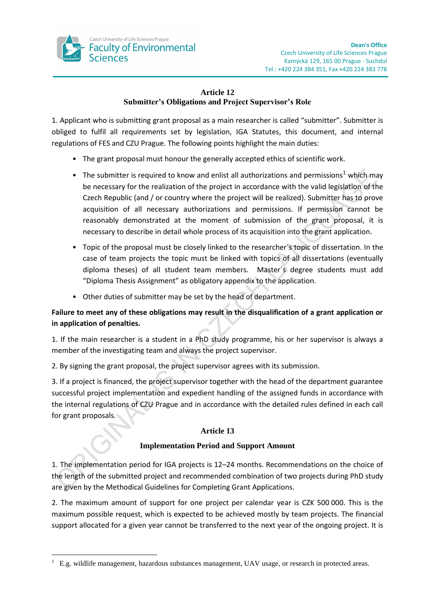

## **Article 12 Submitter's Obligations and Project Supervisor's Role**

1. Applicant who is submitting grant proposal as a main researcher is called "submitter". Submitter is obliged to fulfil all requirements set by legislation, IGA Statutes, this document, and internal regulations of FES and CZU Prague. The following points highlight the main duties:

- The grant proposal must honour the generally accepted ethics of scientific work.
- The submitter is required to know and enlist all authorizations and permissions<sup>1</sup> which may be necessary for the realization of the project in accordance with the valid legislation of the Czech Republic (and / or country where the project will be realized). Submitter has to prove acquisition of all necessary authorizations and permissions. If permission cannot be reasonably demonstrated at the moment of submission of the grant proposal, it is necessary to describe in detail whole process of its acquisition into the grant application.
- Topic of the proposal must be closely linked to the researcher´s topic of dissertation. In the case of team projects the topic must be linked with topics of all dissertations (eventually diploma theses) of all student team members. Master´s degree students must add "Diploma Thesis Assignment" as obligatory appendix to the application.
- Other duties of submitter may be set by the head of department.

## **Failure to meet any of these obligations may result in the disqualification of a grant application or in application of penalties.**

1. If the main researcher is a student in a PhD study programme, his or her supervisor is always a member of the investigating team and always the project supervisor.

2. By signing the grant proposal, the project supervisor agrees with its submission.

3. If a project is financed, the project supervisor together with the head of the department guarantee successful project implementation and expedient handling of the assigned funds in accordance with the internal regulations of CZU Prague and in accordance with the detailed rules defined in each call for grant proposals.

### **Article 13**

### **Implementation Period and Support Amount**

1. The implementation period for IGA projects is 12–24 months. Recommendations on the choice of the length of the submitted project and recommended combination of two projects during PhD study are given by the Methodical Guidelines for Completing Grant Applications.

2. The maximum amount of support for one project per calendar year is CZK 500 000. This is the maximum possible request, which is expected to be achieved mostly by team projects. The financial support allocated for a given year cannot be transferred to the next year of the ongoing project. It is

1

<sup>&</sup>lt;sup>1</sup> E.g. wildlife management, hazardous substances management, UAV usage, or research in protected areas.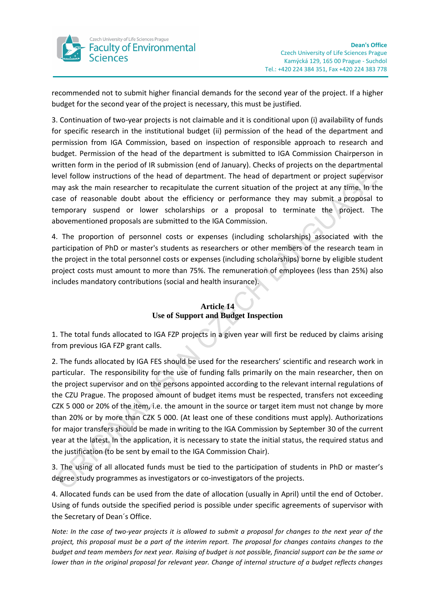

recommended not to submit higher financial demands for the second year of the project. If a higher budget for the second year of the project is necessary, this must be justified.

3. Continuation of two-year projects is not claimable and it is conditional upon (i) availability of funds for specific research in the institutional budget (ii) permission of the head of the department and permission from IGA Commission, based on inspection of responsible approach to research and budget. Permission of the head of the department is submitted to IGA Commission Chairperson in written form in the period of IR submission (end of January). Checks of projects on the departmental level follow instructions of the head of department. The head of department or project supervisor may ask the main researcher to recapitulate the current situation of the project at any time. In the case of reasonable doubt about the efficiency or performance they may submit a proposal to temporary suspend or lower scholarships or a proposal to terminate the project. The abovementioned proposals are submitted to the IGA Commission.

4. The proportion of personnel costs or expenses (including scholarships) associated with the participation of PhD or master's students as researchers or other members of the research team in the project in the total personnel costs or expenses (including scholarships) borne by eligible student project costs must amount to more than 75%. The remuneration of employees (less than 25%) also includes mandatory contributions (social and health insurance).

## **Article 14 Use of Support and Budget Inspection**

1. The total funds allocated to IGA FZP projects in a given year will first be reduced by claims arising from previous IGA FZP grant calls.

2. The funds allocated by IGA FES should be used for the researchers' scientific and research work in particular. The responsibility for the use of funding falls primarily on the main researcher, then on the project supervisor and on the persons appointed according to the relevant internal regulations of the CZU Prague. The proposed amount of budget items must be respected, transfers not exceeding CZK 5 000 or 20% of the item, i.e. the amount in the source or target item must not change by more than 20% or by more than CZK 5 000. (At least one of these conditions must apply). Authorizations for major transfers should be made in writing to the IGA Commission by September 30 of the current year at the latest. In the application, it is necessary to state the initial status, the required status and the justification (to be sent by email to the IGA Commission Chair).

3. The using of all allocated funds must be tied to the participation of students in PhD or master's degree study programmes as investigators or co-investigators of the projects.

4. Allocated funds can be used from the date of allocation (usually in April) until the end of October. Using of funds outside the specified period is possible under specific agreements of supervisor with the Secretary of Dean´s Office.

*Note: In the case of two-year projects it is allowed to submit a proposal for changes to the next year of the project, this proposal must be a part of the interim report. The proposal for changes contains changes to the budget and team members for next year. Raising of budget is not possible, financial support can be the same or lower than in the original proposal for relevant year. Change of internal structure of a budget reflects changes*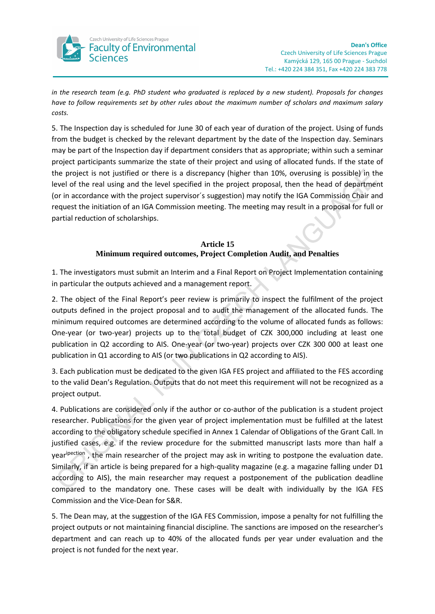

*in the research team (e.g. PhD student who graduated is replaced by a new student). Proposals for changes have to follow requirements set by other rules about the maximum number of scholars and maximum salary costs.* 

5. The Inspection day is scheduled for June 30 of each year of duration of the project. Using of funds from the budget is checked by the relevant department by the date of the Inspection day. Seminars may be part of the Inspection day if department considers that as appropriate; within such a seminar project participants summarize the state of their project and using of allocated funds. If the state of the project is not justified or there is a discrepancy (higher than 10%, overusing is possible) in the level of the real using and the level specified in the project proposal, then the head of department (or in accordance with the project supervisor´s suggestion) may notify the IGA Commission Chair and request the initiation of an IGA Commission meeting. The meeting may result in a proposal for full or partial reduction of scholarships.

### **Article 15 Minimum required outcomes, Project Completion Audit, and Penalties**

1. The investigators must submit an Interim and a Final Report on Project Implementation containing in particular the outputs achieved and a management report.

2. The object of the Final Report's peer review is primarily to inspect the fulfilment of the project outputs defined in the project proposal and to audit the management of the allocated funds. The minimum required outcomes are determined according to the volume of allocated funds as follows: One-year (or two-year) projects up to the total budget of CZK 300,000 including at least one publication in Q2 according to AIS. One-year (or two-year) projects over CZK 300 000 at least one publication in Q1 according to AIS (or two publications in Q2 according to AIS).

3. Each publication must be dedicated to the given IGA FES project and affiliated to the FES according to the valid Dean's Regulation. Outputs that do not meet this requirement will not be recognized as a project output.

4. Publications are considered only if the author or co-author of the publication is a student project researcher. Publications for the given year of project implementation must be fulfilled at the latest according to the obligatory schedule specified in Annex 1 Calendar of Obligations of the Grant Call. In justified cases, e.g. if the review procedure for the submitted manuscript lasts more than half a yearipection, the main researcher of the project may ask in writing to postpone the evaluation date. Similarly, if an article is being prepared for a high-quality magazine (e.g. a magazine falling under D1 according to AIS), the main researcher may request a postponement of the publication deadline compared to the mandatory one. These cases will be dealt with individually by the IGA FES Commission and the Vice-Dean for S&R.

5. The Dean may, at the suggestion of the IGA FES Commission, impose a penalty for not fulfilling the project outputs or not maintaining financial discipline. The sanctions are imposed on the researcher's department and can reach up to 40% of the allocated funds per year under evaluation and the project is not funded for the next year.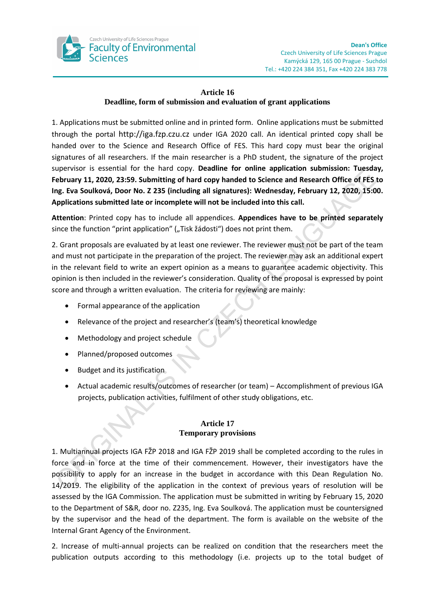

## **Article 16 Deadline, form of submission and evaluation of grant applications**

1. Applications must be submitted online and in printed form. Online applications must be submitted through the portal [http://iga.fzp.czu.cz](http://iga.fzp.czu.cz/) under IGA 2020 call. An identical printed copy shall be handed over to the Science and Research Office of FES. This hard copy must bear the original signatures of all researchers. If the main researcher is a PhD student, the signature of the project supervisor is essential for the hard copy. **Deadline for online application submission: Tuesday, February 11, 2020, 23:59. Submitting of hard copy handed to Science and Research Office of FES to Ing. Eva Soulková, Door No. Z 235 (including all signatures): Wednesday, February 12, 2020, 15:00. Applications submitted late or incomplete will not be included into this call.**

**Attention**: Printed copy has to include all appendices. **Appendices have to be printed separately** since the function "print application" ("Tisk žádosti") does not print them.

2. Grant proposals are evaluated by at least one reviewer. The reviewer must not be part of the team and must not participate in the preparation of the project. The reviewer may ask an additional expert in the relevant field to write an expert opinion as a means to guarantee academic objectivity. This opinion is then included in the reviewer's consideration. Quality of the proposal is expressed by point score and through a written evaluation. The criteria for reviewing are mainly:

- Formal appearance of the application
- Relevance of the project and researcher's (team's) theoretical knowledge
- Methodology and project schedule
- Planned/proposed outcomes
- Budget and its justification
- Actual academic results/outcomes of researcher (or team) Accomplishment of previous IGA projects, publication activities, fulfilment of other study obligations, etc.

### **Article 17 Temporary provisions**

1. Multiannual projects IGA FŽP 2018 and IGA FŽP 2019 shall be completed according to the rules in force and in force at the time of their commencement. However, their investigators have the possibility to apply for an increase in the budget in accordance with this Dean Regulation No. 14/2019. The eligibility of the application in the context of previous years of resolution will be assessed by the IGA Commission. The application must be submitted in writing by February 15, 2020 to the Department of S&R, door no. Z235, Ing. Eva Soulková. The application must be countersigned by the supervisor and the head of the department. The form is available on the website of the Internal Grant Agency of the Environment.

2. Increase of multi-annual projects can be realized on condition that the researchers meet the publication outputs according to this methodology (i.e. projects up to the total budget of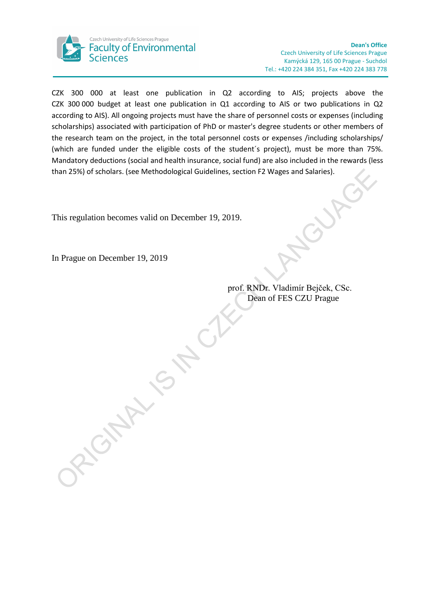

CZK 300 000 at least one publication in Q2 according to AIS; projects above the CZK 300 000 budget at least one publication in Q1 according to AIS or two publications in Q2 according to AIS). All ongoing projects must have the share of personnel costs or expenses (including scholarships) associated with participation of PhD or master's degree students or other members of the research team on the project, in the total personnel costs or expenses /including scholarships/ (which are funded under the eligible costs of the student´s project), must be more than 75%. Mandatory deductions (social and health insurance, social fund) are also included in the rewards (less than 25%) of scholars. (see Methodological Guidelines, section F2 Wages and Salaries).

This regulation becomes valid on December 19, 2019.

ORIGINAL IS NO.

In Prague on December 19, 2019

prof. RNDr. Vladimír Bejček, CSc. Dean of FES CZU Prague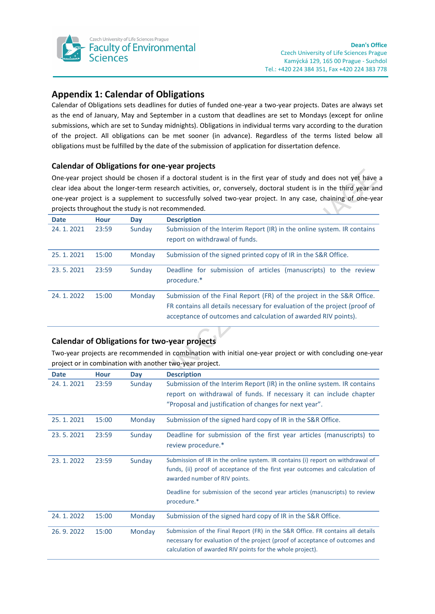

# **Appendix 1: Calendar of Obligations**

Calendar of Obligations sets deadlines for duties of funded one-year a two-year projects. Dates are always set as the end of January, May and September in a custom that deadlines are set to Mondays (except for online submissions, which are set to Sunday midnights). Obligations in individual terms vary according to the duration of the project. All obligations can be met sooner (in advance). Regardless of the terms listed below all obligations must be fulfilled by the date of the submission of application for dissertation defence.

### **Calendar of Obligations for one-year projects**

One-year project should be chosen if a doctoral student is in the first year of study and does not yet have a clear idea about the longer-term research activities, or, conversely, doctoral student is in the third year and one-year project is a supplement to successfully solved two-year project. In any case, chaining of one-year projects throughout the study is not recommended.

| <b>Date</b> | <b>Hour</b> | Day    | <b>Description</b>                                                                                                                                                                                                   |
|-------------|-------------|--------|----------------------------------------------------------------------------------------------------------------------------------------------------------------------------------------------------------------------|
| 24.1.2021   | 23:59       | Sunday | Submission of the Interim Report (IR) in the online system. IR contains<br>report on withdrawal of funds.                                                                                                            |
| 25.1.2021   | 15:00       | Monday | Submission of the signed printed copy of IR in the S&R Office.                                                                                                                                                       |
| 23.5.2021   | 23:59       | Sunday | Deadline for submission of articles (manuscripts) to the review<br>procedure.*                                                                                                                                       |
| 24.1.2022   | 15:00       | Monday | Submission of the Final Report (FR) of the project in the S&R Office.<br>FR contains all details necessary for evaluation of the project (proof of<br>acceptance of outcomes and calculation of awarded RIV points). |

### **Calendar of Obligations for two-year projects**

Two-year projects are recommended in combination with initial one-year project or with concluding one-year project or in combination with another two-year project.

| <b>Date</b> | <b>Hour</b> | Day    | <b>Description</b>                                                                                                                                                                                                          |
|-------------|-------------|--------|-----------------------------------------------------------------------------------------------------------------------------------------------------------------------------------------------------------------------------|
| 24.1.2021   | 23:59       | Sunday | Submission of the Interim Report (IR) in the online system. IR contains<br>report on withdrawal of funds. If necessary it can include chapter<br>"Proposal and justification of changes for next year".                     |
| 25.1.2021   | 15:00       | Monday | Submission of the signed hard copy of IR in the S&R Office.                                                                                                                                                                 |
| 23.5.2021   | 23:59       | Sunday | Deadline for submission of the first year articles (manuscripts) to<br>review procedure.*                                                                                                                                   |
| 23.1.2022   | 23:59       | Sunday | Submission of IR in the online system. IR contains (i) report on withdrawal of<br>funds, (ii) proof of acceptance of the first year outcomes and calculation of<br>awarded number of RIV points.                            |
|             |             |        | Deadline for submission of the second year articles (manuscripts) to review<br>procedure.*                                                                                                                                  |
| 24.1.2022   | 15:00       | Monday | Submission of the signed hard copy of IR in the S&R Office.                                                                                                                                                                 |
| 26.9.2022   | 15:00       | Monday | Submission of the Final Report (FR) in the S&R Office. FR contains all details<br>necessary for evaluation of the project (proof of acceptance of outcomes and<br>calculation of awarded RIV points for the whole project). |